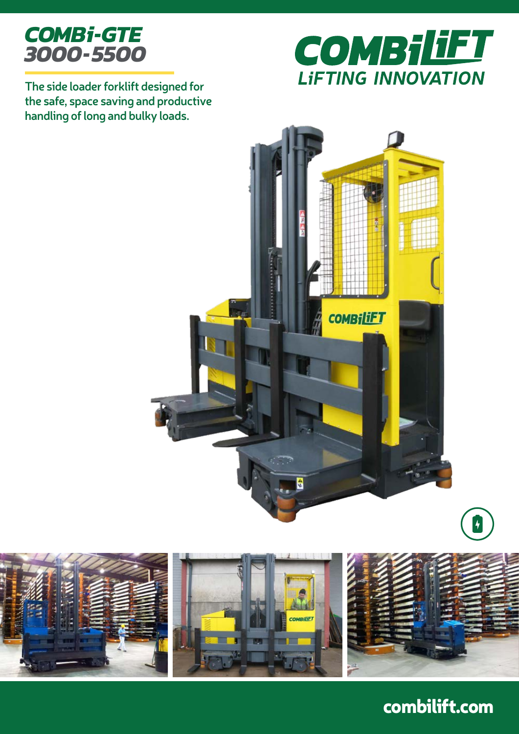



**The side loader forklift designed for the safe, space saving and productive handling of long and bulky loads.**





# combilift.com

 $\vert$  +